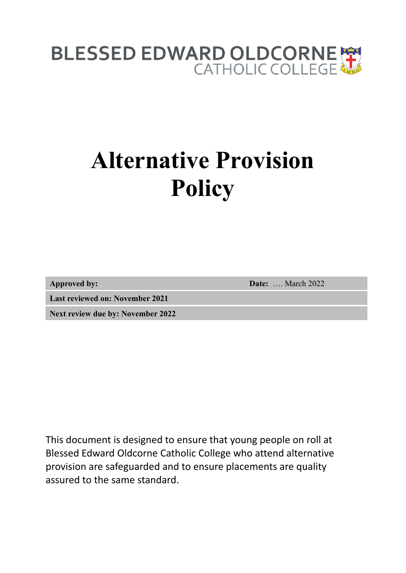# BLESSED EDWARD OLDCORNE

## **Alternative Provision Policy**

**Approved by: Date:** …. March 2022

**Last reviewed on: November 2021**

**Next review due by: November 2022**

This document is designed to ensure that young people on roll at Blessed Edward Oldcorne Catholic College who attend alternative provision are safeguarded and to ensure placements are quality assured to the same standard.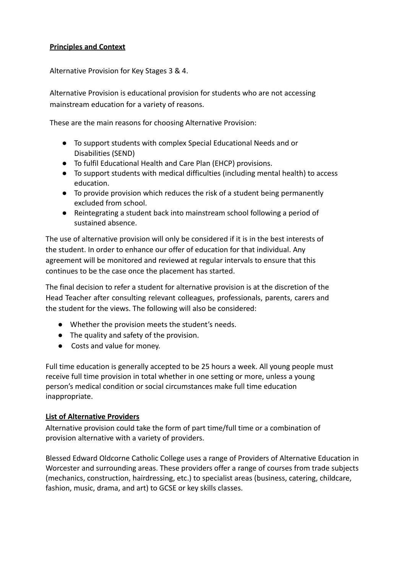#### **Principles and Context**

Alternative Provision for Key Stages 3 & 4.

Alternative Provision is educational provision for students who are not accessing mainstream education for a variety of reasons.

These are the main reasons for choosing Alternative Provision:

- To support students with complex Special Educational Needs and or Disabilities (SEND)
- To fulfil Educational Health and Care Plan (EHCP) provisions.
- To support students with medical difficulties (including mental health) to access education.
- To provide provision which reduces the risk of a student being permanently excluded from school.
- Reintegrating a student back into mainstream school following a period of sustained absence.

The use of alternative provision will only be considered if it is in the best interests of the student. In order to enhance our offer of education for that individual. Any agreement will be monitored and reviewed at regular intervals to ensure that this continues to be the case once the placement has started.

The final decision to refer a student for alternative provision is at the discretion of the Head Teacher after consulting relevant colleagues, professionals, parents, carers and the student for the views. The following will also be considered:

- Whether the provision meets the student's needs.
- The quality and safety of the provision.
- Costs and value for money.

Full time education is generally accepted to be 25 hours a week. All young people must receive full time provision in total whether in one setting or more, unless a young person's medical condition or social circumstances make full time education inappropriate.

#### **List of Alternative Providers**

Alternative provision could take the form of part time/full time or a combination of provision alternative with a variety of providers.

Blessed Edward Oldcorne Catholic College uses a range of Providers of Alternative Education in Worcester and surrounding areas. These providers offer a range of courses from trade subjects (mechanics, construction, hairdressing, etc.) to specialist areas (business, catering, childcare, fashion, music, drama, and art) to GCSE or key skills classes.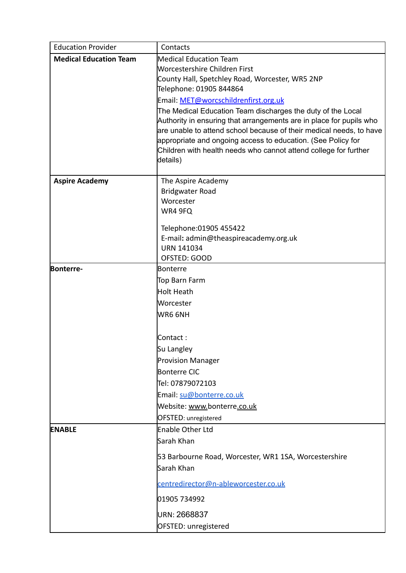| <b>Education Provider</b>     | Contacts                                                                                                                           |  |
|-------------------------------|------------------------------------------------------------------------------------------------------------------------------------|--|
| <b>Medical Education Team</b> | Medical Education Team                                                                                                             |  |
|                               | Worcestershire Children First                                                                                                      |  |
|                               | County Hall, Spetchley Road, Worcester, WR5 2NP                                                                                    |  |
|                               | Telephone: 01905 844864                                                                                                            |  |
|                               | Email: MET@worcschildrenfirst.org.uk                                                                                               |  |
|                               | The Medical Education Team discharges the duty of the Local<br>Authority in ensuring that arrangements are in place for pupils who |  |
|                               | are unable to attend school because of their medical needs, to have                                                                |  |
|                               | appropriate and ongoing access to education. (See Policy for                                                                       |  |
|                               | Children with health needs who cannot attend college for further                                                                   |  |
|                               | details)                                                                                                                           |  |
|                               |                                                                                                                                    |  |
| <b>Aspire Academy</b>         | The Aspire Academy<br><b>Bridgwater Road</b>                                                                                       |  |
|                               | Worcester                                                                                                                          |  |
|                               | WR4 9FQ                                                                                                                            |  |
|                               |                                                                                                                                    |  |
|                               | Telephone: 01905 455422                                                                                                            |  |
|                               | E-mail: admin@theaspireacademy.org.uk<br><b>URN 141034</b>                                                                         |  |
|                               | OFSTED: GOOD                                                                                                                       |  |
| Bonterre-                     | Bonterre                                                                                                                           |  |
|                               | Top Barn Farm                                                                                                                      |  |
|                               | Holt Heath                                                                                                                         |  |
|                               | Worcester                                                                                                                          |  |
|                               | WR6 6NH                                                                                                                            |  |
|                               |                                                                                                                                    |  |
|                               | Contact:                                                                                                                           |  |
|                               | Su Langley                                                                                                                         |  |
|                               | <b>Provision Manager</b>                                                                                                           |  |
|                               | Bonterre CIC                                                                                                                       |  |
|                               | Tel: 07879072103                                                                                                                   |  |
|                               | Email: su@bonterre.co.uk                                                                                                           |  |
|                               | Website: www.bonterre.co.uk                                                                                                        |  |
|                               | <b>OFSTED: unregistered</b>                                                                                                        |  |
| <b>ENABLE</b>                 | Enable Other Ltd                                                                                                                   |  |
|                               | Sarah Khan                                                                                                                         |  |
|                               | 53 Barbourne Road, Worcester, WR1 1SA, Worcestershire                                                                              |  |
|                               | Sarah Khan                                                                                                                         |  |
|                               | centredirector@n-ableworcester.co.uk                                                                                               |  |
|                               | 01905 734992                                                                                                                       |  |
|                               | URN: 2668837                                                                                                                       |  |
|                               | OFSTED: unregistered                                                                                                               |  |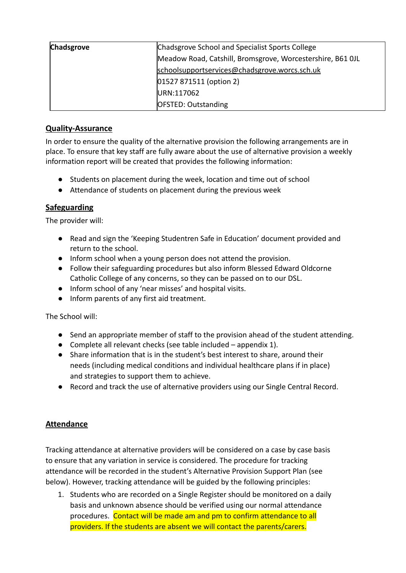| Chadsgrove | Chadsgrove School and Specialist Sports College            |
|------------|------------------------------------------------------------|
|            | Meadow Road, Catshill, Bromsgrove, Worcestershire, B61 OJL |
|            | schoolsupportservices@chadsgrove.worcs.sch.uk              |
|            | 01527 871511 (option 2)                                    |
|            | URN:117062                                                 |
|            | <b>OFSTED: Outstanding</b>                                 |

#### **Quality-Assurance**

In order to ensure the quality of the alternative provision the following arrangements are in place. To ensure that key staff are fully aware about the use of alternative provision a weekly information report will be created that provides the following information:

- Students on placement during the week, location and time out of school
- Attendance of students on placement during the previous week

#### **Safeguarding**

The provider will:

- Read and sign the 'Keeping Studentren Safe in Education' document provided and return to the school.
- Inform school when a young person does not attend the provision.
- Follow their safeguarding procedures but also inform Blessed Edward Oldcorne Catholic College of any concerns, so they can be passed on to our DSL.
- Inform school of any 'near misses' and hospital visits.
- Inform parents of any first aid treatment.

The School will:

- Send an appropriate member of staff to the provision ahead of the student attending.
- Complete all relevant checks (see table included appendix 1).
- Share information that is in the student's best interest to share, around their needs (including medical conditions and individual healthcare plans if in place) and strategies to support them to achieve.
- Record and track the use of alternative providers using our Single Central Record.

#### **Attendance**

Tracking attendance at alternative providers will be considered on a case by case basis to ensure that any variation in service is considered. The procedure for tracking attendance will be recorded in the student's Alternative Provision Support Plan (see below). However, tracking attendance will be guided by the following principles:

1. Students who are recorded on a Single Register should be monitored on a daily basis and unknown absence should be verified using our normal attendance procedures. Contact will be made am and pm to confirm attendance to all providers. If the students are absent we will contact the parents/carers.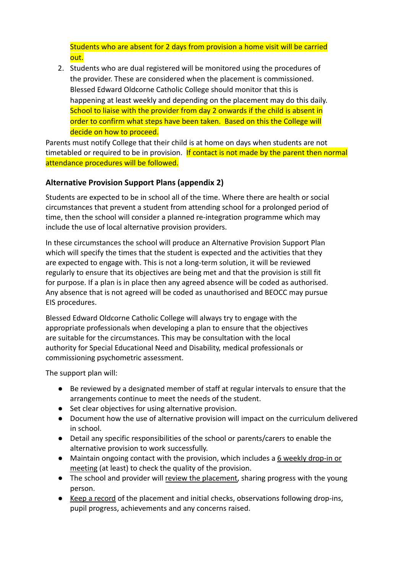Students who are absent for 2 days from provision a home visit will be carried out.

2. Students who are dual registered will be monitored using the procedures of the provider. These are considered when the placement is commissioned. Blessed Edward Oldcorne Catholic College should monitor that this is happening at least weekly and depending on the placement may do this daily. School to liaise with the provider from day 2 onwards if the child is absent in order to confirm what steps have been taken. Based on this the College will decide on how to proceed.

Parents must notify College that their child is at home on days when students are not timetabled or required to be in provision. If contact is not made by the parent then normal attendance procedures will be followed.

#### **Alternative Provision Support Plans (appendix 2)**

Students are expected to be in school all of the time. Where there are health or social circumstances that prevent a student from attending school for a prolonged period of time, then the school will consider a planned re-integration programme which may include the use of local alternative provision providers.

In these circumstances the school will produce an Alternative Provision Support Plan which will specify the times that the student is expected and the activities that they are expected to engage with. This is not a long-term solution, it will be reviewed regularly to ensure that its objectives are being met and that the provision is still fit for purpose. If a plan is in place then any agreed absence will be coded as authorised. Any absence that is not agreed will be coded as unauthorised and BEOCC may pursue EIS procedures.

Blessed Edward Oldcorne Catholic College will always try to engage with the appropriate professionals when developing a plan to ensure that the objectives are suitable for the circumstances. This may be consultation with the local authority for Special Educational Need and Disability, medical professionals or commissioning psychometric assessment.

The support plan will:

- Be reviewed by a designated member of staff at regular intervals to ensure that the arrangements continue to meet the needs of the student.
- Set clear objectives for using alternative provision.
- Document how the use of alternative provision will impact on the curriculum delivered in school.
- Detail any specific responsibilities of the school or parents/carers to enable the alternative provision to work successfully.
- Maintain ongoing contact with the provision, which includes a 6 weekly drop-in or meeting (at least) to check the quality of the provision.
- The school and provider will review the placement, sharing progress with the young person.
- Keep a record of the placement and initial checks, observations following drop-ins, pupil progress, achievements and any concerns raised.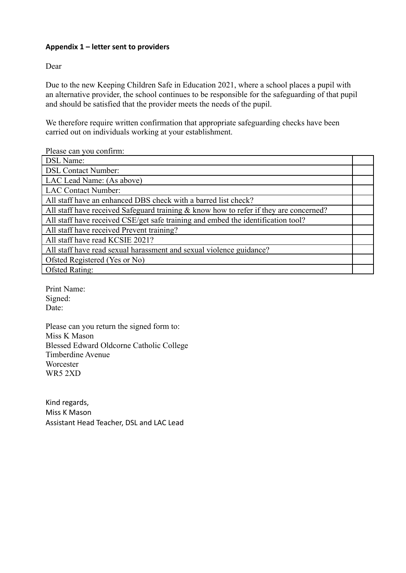#### **Appendix 1 – letter sent to providers**

Dear

Due to the new Keeping Children Safe in Education 2021, where a school places a pupil with an alternative provider, the school continues to be responsible for the safeguarding of that pupil and should be satisfied that the provider meets the needs of the pupil.

We therefore require written confirmation that appropriate safeguarding checks have been carried out on individuals working at your establishment.

| <b>DSL Name:</b><br><b>DSL Contact Number:</b><br>LAC Lead Name: (As above)<br><b>LAC Contact Number:</b><br>All staff have an enhanced DBS check with a barred list check?<br>All staff have received Safeguard training & know how to refer if they are concerned?<br>All staff have received CSE/get safe training and embed the identification tool?<br>All staff have received Prevent training? |
|-------------------------------------------------------------------------------------------------------------------------------------------------------------------------------------------------------------------------------------------------------------------------------------------------------------------------------------------------------------------------------------------------------|
|                                                                                                                                                                                                                                                                                                                                                                                                       |
|                                                                                                                                                                                                                                                                                                                                                                                                       |
|                                                                                                                                                                                                                                                                                                                                                                                                       |
|                                                                                                                                                                                                                                                                                                                                                                                                       |
|                                                                                                                                                                                                                                                                                                                                                                                                       |
|                                                                                                                                                                                                                                                                                                                                                                                                       |
|                                                                                                                                                                                                                                                                                                                                                                                                       |
|                                                                                                                                                                                                                                                                                                                                                                                                       |
| All staff have read KCSIE 2021?                                                                                                                                                                                                                                                                                                                                                                       |
| All staff have read sexual harassment and sexual violence guidance?                                                                                                                                                                                                                                                                                                                                   |
| Ofsted Registered (Yes or No)                                                                                                                                                                                                                                                                                                                                                                         |
| <b>Ofsted Rating:</b>                                                                                                                                                                                                                                                                                                                                                                                 |

Print Name: Signed: Date:

Please can you return the signed form to: Miss K Mason Blessed Edward Oldcorne Catholic College Timberdine Avenue **Worcester** WR5 2XD

Kind regards, Miss K Mason Assistant Head Teacher, DSL and LAC Lead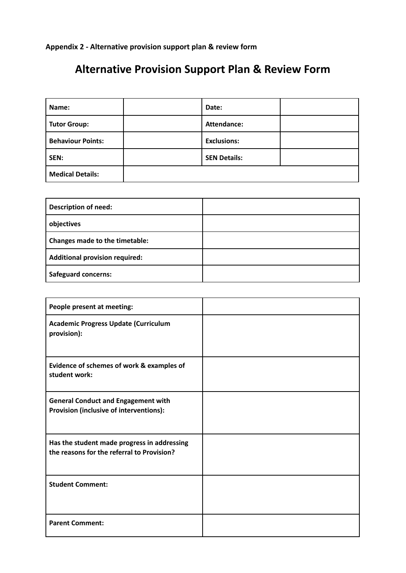**Appendix 2 - Alternative provision support plan & review form**

### **Alternative Provision Support Plan & Review Form**

| Name:                    | Date:               |  |
|--------------------------|---------------------|--|
| <b>Tutor Group:</b>      | Attendance:         |  |
| <b>Behaviour Points:</b> | <b>Exclusions:</b>  |  |
| SEN:                     | <b>SEN Details:</b> |  |
| <b>Medical Details:</b>  |                     |  |

| <b>Description of need:</b>           |  |
|---------------------------------------|--|
| objectives                            |  |
| Changes made to the timetable:        |  |
| <b>Additional provision required:</b> |  |
| <b>Safeguard concerns:</b>            |  |

| People present at meeting:                                                                |  |
|-------------------------------------------------------------------------------------------|--|
| <b>Academic Progress Update (Curriculum</b><br>provision):                                |  |
| Evidence of schemes of work & examples of<br>student work:                                |  |
| <b>General Conduct and Engagement with</b><br>Provision (inclusive of interventions):     |  |
| Has the student made progress in addressing<br>the reasons for the referral to Provision? |  |
| <b>Student Comment:</b>                                                                   |  |
| <b>Parent Comment:</b>                                                                    |  |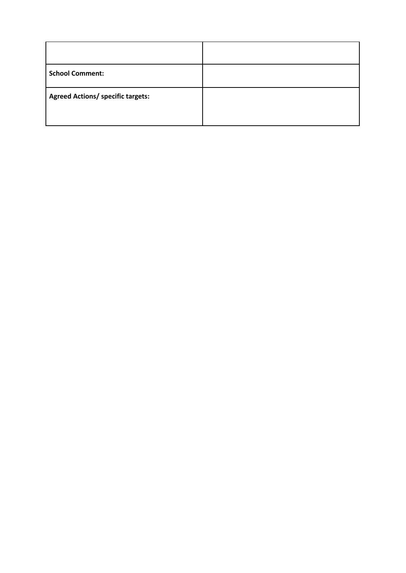| School Comment:                   |  |
|-----------------------------------|--|
| Agreed Actions/ specific targets: |  |
|                                   |  |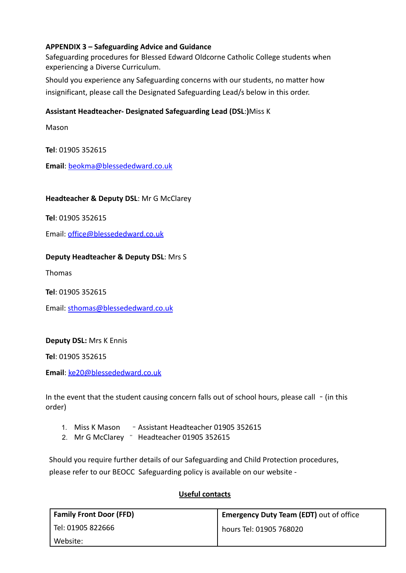#### **APPENDIX 3 – Safeguarding Advice and Guidance**

Safeguarding procedures for Blessed Edward Oldcorne Catholic College students when experiencing a Diverse Curriculum.

Should you experience any Safeguarding concerns with our students, no matter how insignificant, please call the Designated Safeguarding Lead/s below in this order.

#### **Assistant Headteacher- Designated Safeguarding Lead (DSL**:**)**Miss K

Mason

**Tel**: 01905 352615

**Email**: [beokma@blessededward.co.uk](mailto:beokma@blessededward.co.uk)

#### **Headteacher & Deputy DSL**: Mr G McClarey

**Tel**: 01905 352615

Email: [office@blessededward.co.uk](mailto:office@blessededward.co.uk)

#### **Deputy Headteacher & Deputy DSL**: Mrs S

Thomas

**Tel**: 01905 352615

Email: [sthomas@blessededward.co.uk](mailto:sthomas@blessededward.co.uk)

#### **Deputy DSL:** Mrs K Ennis

**Tel**: 01905 352615

**Email**: [ke20@blessededward.co.uk](mailto:ke20@blessededward.co.uk)

In the event that the student causing concern falls out of school hours, please call  $-$  (in this order)

- 1. Miss K Mason Assistant Headteacher 01905 352615
- 2. Mr G McClarey <sup>-</sup> Headteacher 01905 352615

Should you require further details of our Safeguarding and Child Protection procedures, please refer to our BEOCC Safeguarding policy is available on our website -

#### **Useful contacts**

| <b>Family Front Door (FFD)</b> | <b>Emergency Duty Team (EDT)</b> out of office |
|--------------------------------|------------------------------------------------|
| Tel: 01905 822666              | hours Tel: 01905 768020                        |
| Website:                       |                                                |